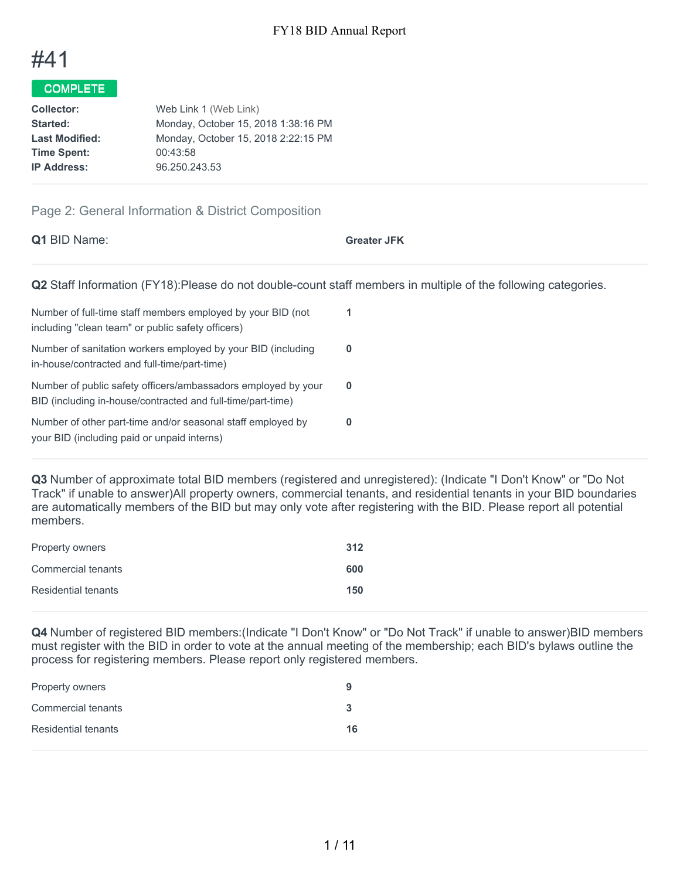

## COMPLETE

| <b>Collector:</b>     | Web Link 1 (Web Link)               |
|-----------------------|-------------------------------------|
| Started:              | Monday, October 15, 2018 1:38:16 PM |
| <b>Last Modified:</b> | Monday, October 15, 2018 2:22:15 PM |
| <b>Time Spent:</b>    | 00:43:58                            |
| <b>IP Address:</b>    | 96.250.243.53                       |
|                       |                                     |

## Page 2: General Information & District Composition

| <b>Q1</b> BID Name:                                                                                              | <b>Greater JFK</b> |
|------------------------------------------------------------------------------------------------------------------|--------------------|
| Q2 Staff Information (FY18): Please do not double-count staff members in multiple of the following categories.   |                    |
| Number of full-time staff members employed by your BID (not<br>including "clean team" or public safety officers) |                    |

| moldanig oldan todin or papilo saloty omoors?                                                                                |  |
|------------------------------------------------------------------------------------------------------------------------------|--|
| Number of sanitation workers employed by your BID (including<br>in-house/contracted and full-time/part-time)                 |  |
| Number of public safety officers/ambassadors employed by your<br>BID (including in-house/contracted and full-time/part-time) |  |
| Number of other part-time and/or seasonal staff employed by<br>your BID (including paid or unpaid interns)                   |  |

**Q3** Number of approximate total BID members (registered and unregistered): (Indicate "I Don't Know" or "Do Not Track" if unable to answer)All property owners, commercial tenants, and residential tenants in your BID boundaries are automatically members of the BID but may only vote after registering with the BID. Please report all potential members.

| <b>Property owners</b> | 312 |
|------------------------|-----|
| Commercial tenants     | 600 |
| Residential tenants    | 150 |

**Q4** Number of registered BID members:(Indicate "I Don't Know" or "Do Not Track" if unable to answer)BID members must register with the BID in order to vote at the annual meeting of the membership; each BID's bylaws outline the process for registering members. Please report only registered members.

| <b>Property owners</b>     | у  |
|----------------------------|----|
| Commercial tenants         | 3  |
| <b>Residential tenants</b> | 16 |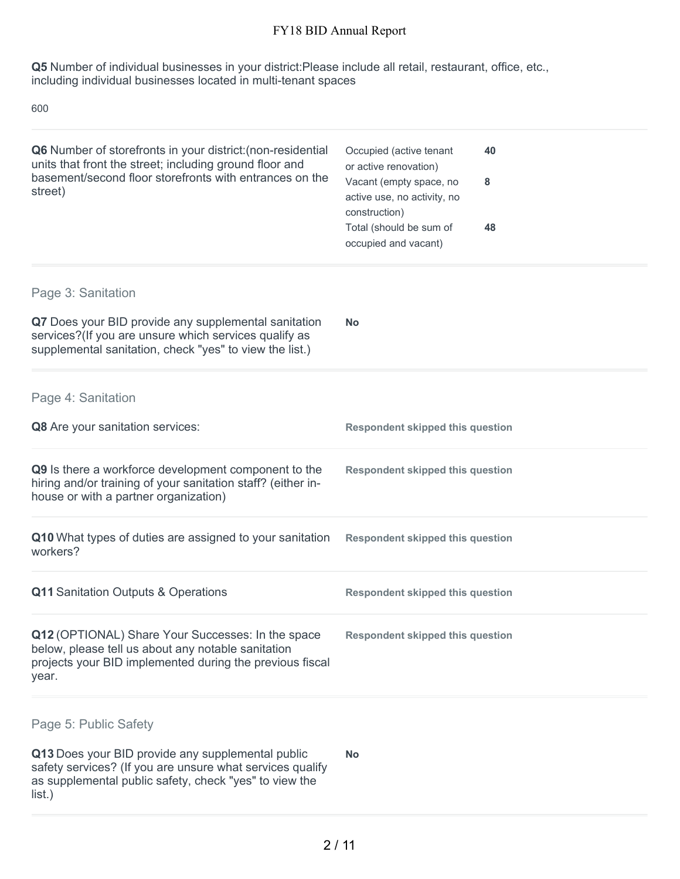**Q5** Number of individual businesses in your district:Please include all retail, restaurant, office, etc., including individual businesses located in multi-tenant spaces

600

list.)

| Q6 Number of storefronts in your district: (non-residential<br>units that front the street; including ground floor and<br>basement/second floor storefronts with entrances on the<br>street) | Occupied (active tenant<br>40<br>or active renovation)<br>Vacant (empty space, no<br>8<br>active use, no activity, no<br>construction)<br>Total (should be sum of<br>48<br>occupied and vacant) |
|----------------------------------------------------------------------------------------------------------------------------------------------------------------------------------------------|-------------------------------------------------------------------------------------------------------------------------------------------------------------------------------------------------|
| Page 3: Sanitation                                                                                                                                                                           |                                                                                                                                                                                                 |
| Q7 Does your BID provide any supplemental sanitation<br>services?(If you are unsure which services qualify as<br>supplemental sanitation, check "yes" to view the list.)                     | <b>No</b>                                                                                                                                                                                       |
| Page 4: Sanitation                                                                                                                                                                           |                                                                                                                                                                                                 |
| Q8 Are your sanitation services:                                                                                                                                                             | <b>Respondent skipped this question</b>                                                                                                                                                         |
| Q9 Is there a workforce development component to the<br>hiring and/or training of your sanitation staff? (either in-<br>house or with a partner organization)                                | <b>Respondent skipped this question</b>                                                                                                                                                         |
| Q10 What types of duties are assigned to your sanitation<br>workers?                                                                                                                         | <b>Respondent skipped this question</b>                                                                                                                                                         |
| Q11 Sanitation Outputs & Operations                                                                                                                                                          | <b>Respondent skipped this question</b>                                                                                                                                                         |
| Q12 (OPTIONAL) Share Your Successes: In the space<br>below, please tell us about any notable sanitation<br>projects your BID implemented during the previous fiscal<br>year.                 | <b>Respondent skipped this question</b>                                                                                                                                                         |
| Page 5: Public Safety                                                                                                                                                                        |                                                                                                                                                                                                 |
| Q13 Does your BID provide any supplemental public<br>safety services? (If you are unsure what services qualify<br>as supplemental public safety, check "yes" to view the                     | <b>No</b>                                                                                                                                                                                       |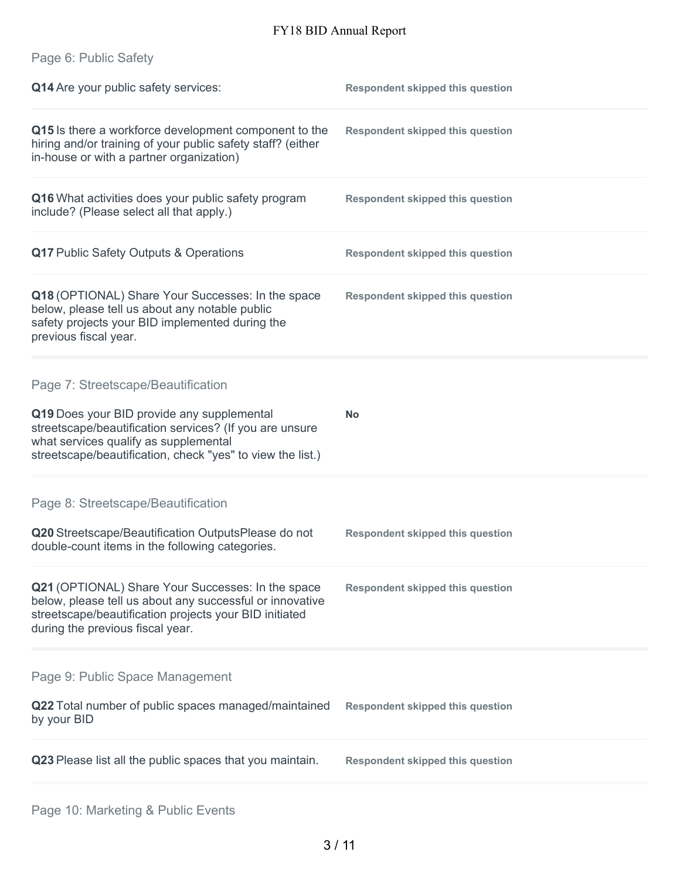|  | Page 6: Public Safety |
|--|-----------------------|
|  |                       |

| Q14 Are your public safety services:                                                                                                                                                                                                               | <b>Respondent skipped this question</b> |
|----------------------------------------------------------------------------------------------------------------------------------------------------------------------------------------------------------------------------------------------------|-----------------------------------------|
| Q15 Is there a workforce development component to the<br>hiring and/or training of your public safety staff? (either<br>in-house or with a partner organization)                                                                                   | <b>Respondent skipped this question</b> |
| Q16 What activities does your public safety program<br>include? (Please select all that apply.)                                                                                                                                                    | <b>Respondent skipped this question</b> |
| Q17 Public Safety Outputs & Operations                                                                                                                                                                                                             | <b>Respondent skipped this question</b> |
| Q18 (OPTIONAL) Share Your Successes: In the space<br>below, please tell us about any notable public<br>safety projects your BID implemented during the<br>previous fiscal year.                                                                    | <b>Respondent skipped this question</b> |
| Page 7: Streetscape/Beautification<br>Q19 Does your BID provide any supplemental<br>streetscape/beautification services? (If you are unsure<br>what services qualify as supplemental<br>streetscape/beautification, check "yes" to view the list.) | <b>No</b>                               |
| Page 8: Streetscape/Beautification<br>Q20 Streetscape/Beautification OutputsPlease do not<br>double-count items in the following categories.                                                                                                       | <b>Respondent skipped this question</b> |
| Q21 (OPTIONAL) Share Your Successes: In the space<br>below, please tell us about any successful or innovative<br>streetscape/beautification projects your BID initiated<br>during the previous fiscal year.                                        | <b>Respondent skipped this question</b> |
| Page 9: Public Space Management                                                                                                                                                                                                                    |                                         |
| Q22 Total number of public spaces managed/maintained<br>by your BID                                                                                                                                                                                | <b>Respondent skipped this question</b> |
| Q23 Please list all the public spaces that you maintain.                                                                                                                                                                                           | <b>Respondent skipped this question</b> |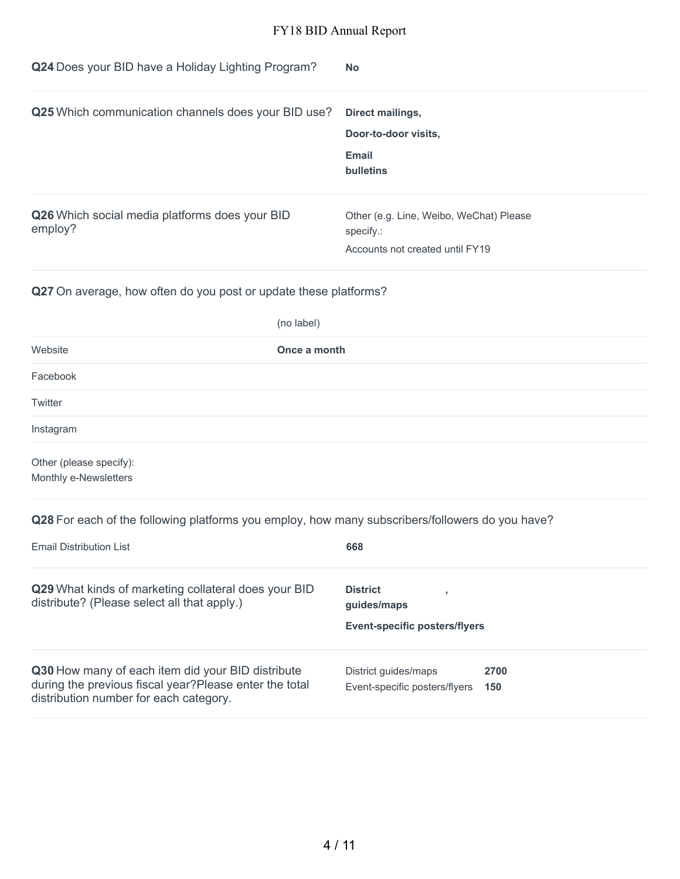| Q24 Does your BID have a Holiday Lighting Program?        | <b>No</b>                                                                               |
|-----------------------------------------------------------|-----------------------------------------------------------------------------------------|
| Q25 Which communication channels does your BID use?       | Direct mailings,<br>Door-to-door visits,<br>Email<br>bulletins                          |
| Q26 Which social media platforms does your BID<br>employ? | Other (e.g. Line, Weibo, WeChat) Please<br>specify.:<br>Accounts not created until FY19 |

**Q27** On average, how often do you post or update these platforms?

|                         | (no label)   |
|-------------------------|--------------|
| Website                 | Once a month |
| Facebook                |              |
| Twitter                 |              |
| Instagram               |              |
| Other (please specify): |              |

Monthly e-Newsletters

**Q28** For each of the following platforms you employ, how many subscribers/followers do you have?

| Email Distribution List                                                                                                                                | 668                                                                    |
|--------------------------------------------------------------------------------------------------------------------------------------------------------|------------------------------------------------------------------------|
| Q29 What kinds of marketing collateral does your BID<br>distribute? (Please select all that apply.)                                                    | <b>District</b><br>guides/maps<br><b>Event-specific posters/flyers</b> |
| Q30 How many of each item did your BID distribute<br>during the previous fiscal year? Please enter the total<br>distribution number for each category. | District quides/maps<br>2700<br>Event-specific posters/flyers<br>150   |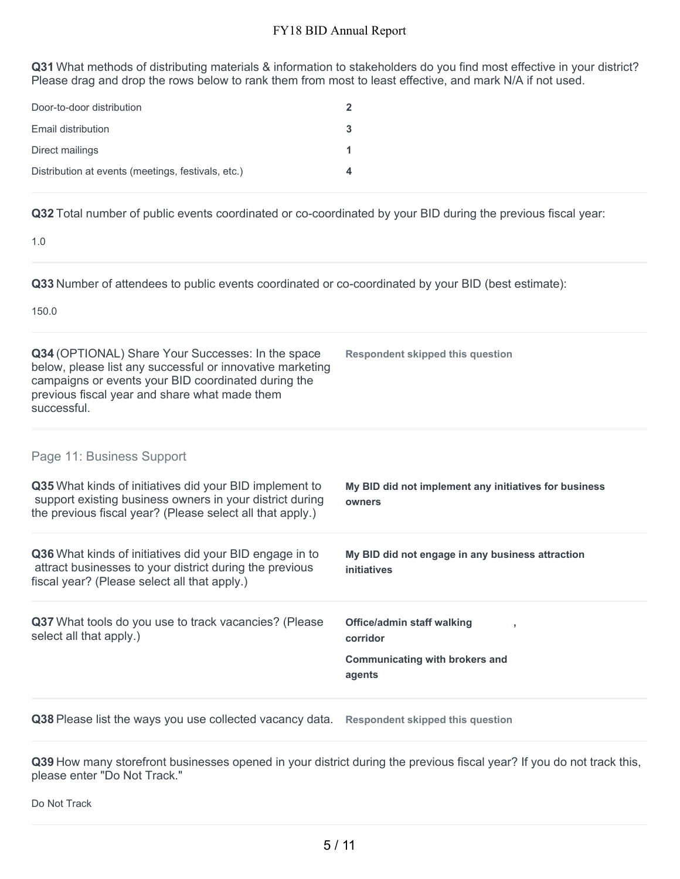**Q31** What methods of distributing materials & information to stakeholders do you find most effective in your district? Please drag and drop the rows below to rank them from most to least effective, and mark N/A if not used.

| Door-to-door distribution                          |   |
|----------------------------------------------------|---|
| Email distribution                                 | 3 |
| Direct mailings                                    |   |
| Distribution at events (meetings, festivals, etc.) |   |

**Q32** Total number of public events coordinated or co-coordinated by your BID during the previous fiscal year:

1.0

**Q33** Number of attendees to public events coordinated or co-coordinated by your BID (best estimate):

150.0

| Q34 (OPTIONAL) Share Your Successes: In the space<br>below, please list any successful or innovative marketing<br>campaigns or events your BID coordinated during the<br>previous fiscal year and share what made them<br>successful. | <b>Respondent skipped this question</b>                                                          |
|---------------------------------------------------------------------------------------------------------------------------------------------------------------------------------------------------------------------------------------|--------------------------------------------------------------------------------------------------|
| Page 11: Business Support                                                                                                                                                                                                             |                                                                                                  |
| Q35 What kinds of initiatives did your BID implement to<br>support existing business owners in your district during<br>the previous fiscal year? (Please select all that apply.)                                                      | My BID did not implement any initiatives for business<br>owners                                  |
| Q36 What kinds of initiatives did your BID engage in to<br>attract businesses to your district during the previous<br>fiscal year? (Please select all that apply.)                                                                    | My BID did not engage in any business attraction<br>initiatives                                  |
| Q37 What tools do you use to track vacancies? (Please<br>select all that apply.)                                                                                                                                                      | <b>Office/admin staff walking</b><br>corridor<br><b>Communicating with brokers and</b><br>agents |
| Q38 Please list the ways you use collected vacancy data. Respondent skipped this question                                                                                                                                             |                                                                                                  |

**Q39** How many storefront businesses opened in your district during the previous fiscal year? If you do not track this, please enter "Do Not Track."

Do Not Track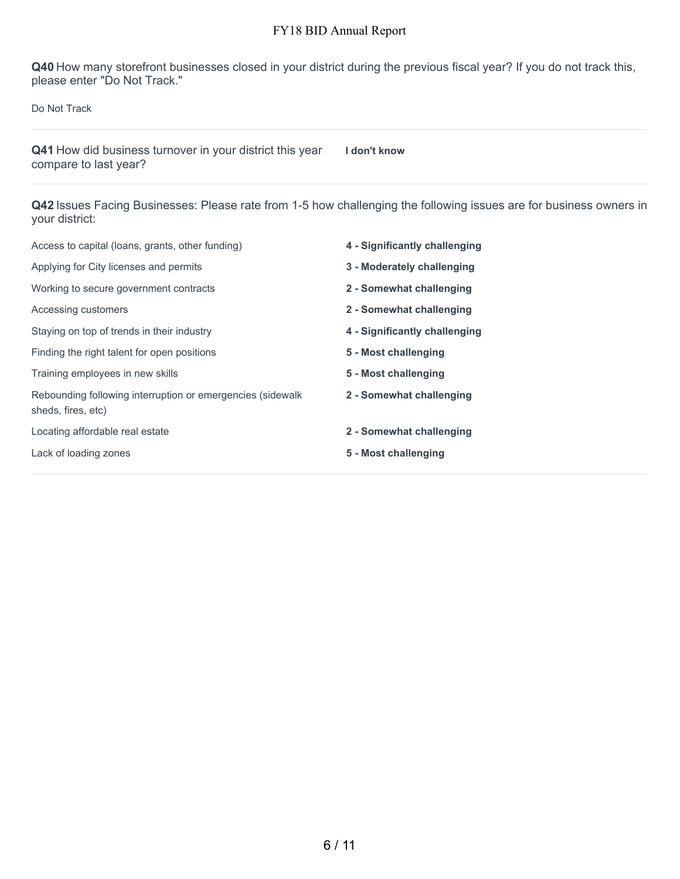**Q40** How many storefront businesses closed in your district during the previous fiscal year? If you do not track this, please enter "Do Not Track."

Do Not Track

**Q41** How did business turnover in your district this year compare to last year?

**I don't know**

**Q42** Issues Facing Businesses: Please rate from 1-5 how challenging the following issues are for business owners in your district:

| Access to capital (loans, grants, other funding)                                 | 4 - Significantly challenging |
|----------------------------------------------------------------------------------|-------------------------------|
| Applying for City licenses and permits                                           | 3 - Moderately challenging    |
| Working to secure government contracts                                           | 2 - Somewhat challenging      |
| Accessing customers                                                              | 2 - Somewhat challenging      |
| Staying on top of trends in their industry                                       | 4 - Significantly challenging |
| Finding the right talent for open positions                                      | 5 - Most challenging          |
| Training employees in new skills                                                 | 5 - Most challenging          |
| Rebounding following interruption or emergencies (sidewalk<br>sheds, fires, etc) | 2 - Somewhat challenging      |
| Locating affordable real estate                                                  | 2 - Somewhat challenging      |
| Lack of loading zones                                                            | 5 - Most challenging          |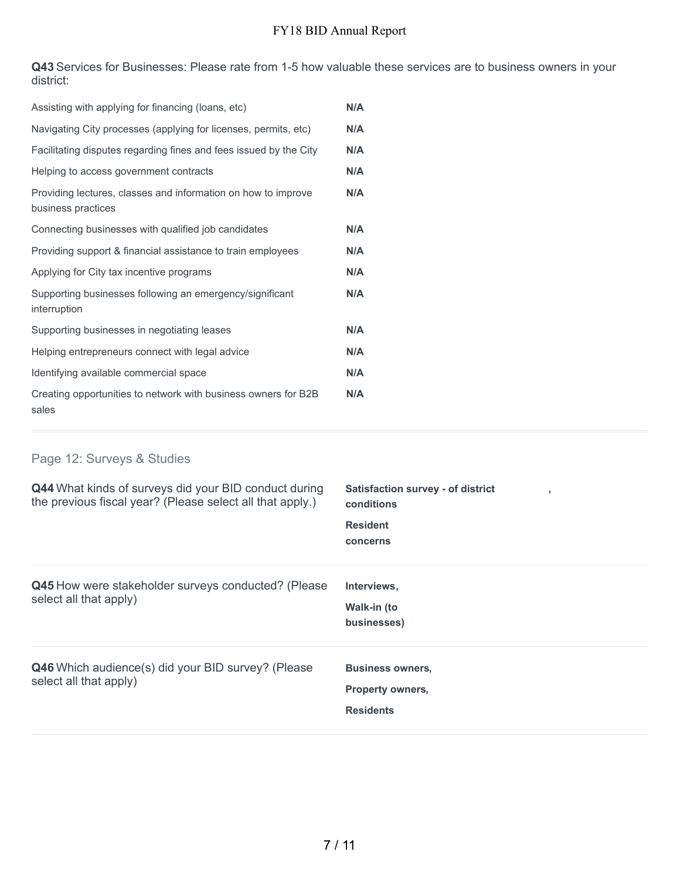**Q43** Services for Businesses: Please rate from 1-5 how valuable these services are to business owners in your district:

| Assisting with applying for financing (loans, etc)                                  | N/A |
|-------------------------------------------------------------------------------------|-----|
| Navigating City processes (applying for licenses, permits, etc)                     | N/A |
| Facilitating disputes regarding fines and fees issued by the City                   | N/A |
| Helping to access government contracts                                              | N/A |
| Providing lectures, classes and information on how to improve<br>business practices | N/A |
| Connecting businesses with qualified job candidates                                 | N/A |
| Providing support & financial assistance to train employees                         | N/A |
| Applying for City tax incentive programs                                            | N/A |
| Supporting businesses following an emergency/significant<br>interruption            | N/A |
| Supporting businesses in negotiating leases                                         | N/A |
| Helping entrepreneurs connect with legal advice                                     | N/A |
| Identifying available commercial space                                              | N/A |
| Creating opportunities to network with business owners for B2B<br>sales             | N/A |

# Page 12: Surveys & Studies

| Q44 What kinds of surveys did your BID conduct during<br>the previous fiscal year? (Please select all that apply.) | <b>Satisfaction survey - of district</b><br>٠<br>conditions<br><b>Resident</b><br>concerns |
|--------------------------------------------------------------------------------------------------------------------|--------------------------------------------------------------------------------------------|
| Q45 How were stakeholder surveys conducted? (Please<br>select all that apply)                                      | Interviews,<br>Walk-in (to<br>businesses)                                                  |
| Q46 Which audience(s) did your BID survey? (Please<br>select all that apply)                                       | <b>Business owners,</b><br><b>Property owners,</b><br><b>Residents</b>                     |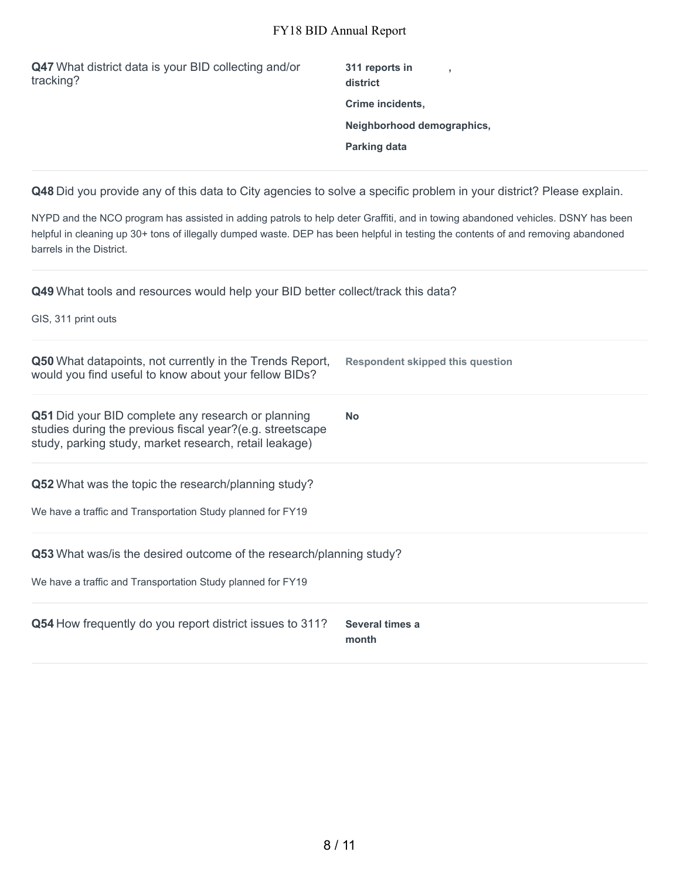| Q47 What district data is your BID collecting and/or<br>tracking? | 311 reports in<br>district |
|-------------------------------------------------------------------|----------------------------|
|                                                                   | Crime incidents,           |
|                                                                   | Neighborhood demographics, |
|                                                                   | <b>Parking data</b>        |
|                                                                   |                            |

**Q48** Did you provide any of this data to City agencies to solve a specific problem in your district? Please explain.

NYPD and the NCO program has assisted in adding patrols to help deter Graffiti, and in towing abandoned vehicles. DSNY has been helpful in cleaning up 30+ tons of illegally dumped waste. DEP has been helpful in testing the contents of and removing abandoned barrels in the District.

**Q49** What tools and resources would help your BID better collect/track this data?

GIS, 311 print outs

| <b>Q50</b> What datapoints, not currently in the Trends Report,<br>would you find useful to know about your fellow BIDs?                                                         | <b>Respondent skipped this question</b> |
|----------------------------------------------------------------------------------------------------------------------------------------------------------------------------------|-----------------------------------------|
| <b>Q51</b> Did your BID complete any research or planning<br>studies during the previous fiscal year?(e.g. streetscape<br>study, parking study, market research, retail leakage) | <b>No</b>                               |
| <b>Q52</b> What was the topic the research/planning study?<br>We have a traffic and Transportation Study planned for FY19                                                        |                                         |
| <b>Q53</b> What was/is the desired outcome of the research/planning study?<br>We have a traffic and Transportation Study planned for FY19                                        |                                         |
| Q54 How frequently do you report district issues to 311?                                                                                                                         | Several times a<br>month                |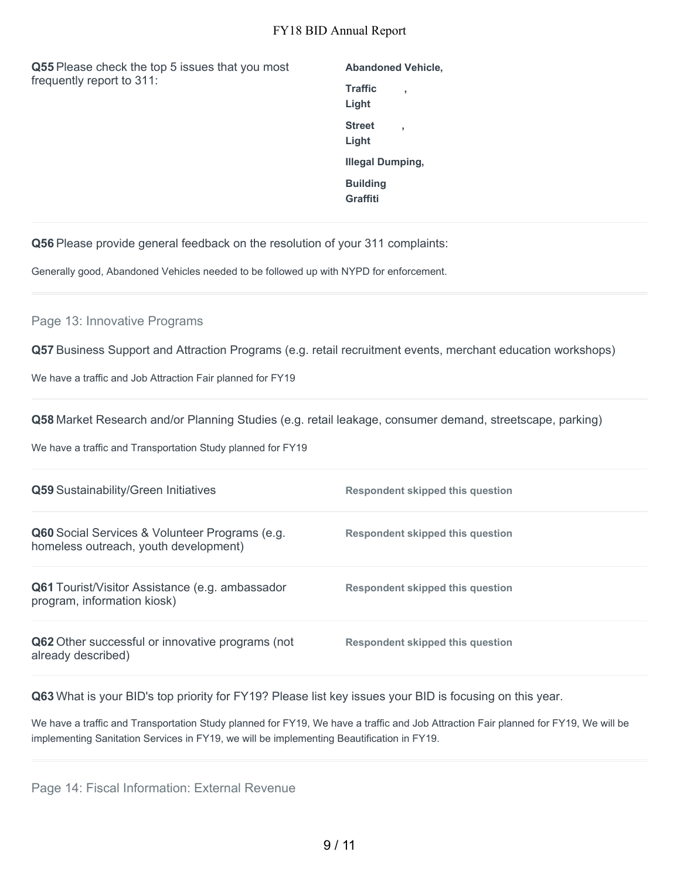**Q55** Please check the top 5 issues that you most frequently report to 311:

| <b>Abandoned Vehicle,</b>   |   |
|-----------------------------|---|
| Traffic<br>Light            |   |
| <b>Street</b><br>Light      | ٠ |
| <b>Illegal Dumping,</b>     |   |
| <b>Building</b><br>Graffiti |   |

**Q56** Please provide general feedback on the resolution of your 311 complaints:

Generally good, Abandoned Vehicles needed to be followed up with NYPD for enforcement.

### Page 13: Innovative Programs

**Q57** Business Support and Attraction Programs (e.g. retail recruitment events, merchant education workshops)

We have a traffic and Job Attraction Fair planned for FY19

**Q58** Market Research and/or Planning Studies (e.g. retail leakage, consumer demand, streetscape, parking)

We have a traffic and Transportation Study planned for FY19

| Q59 Sustainability/Green Initiatives                                                    | Respondent skipped this question |
|-----------------------------------------------------------------------------------------|----------------------------------|
| Q60 Social Services & Volunteer Programs (e.g.<br>homeless outreach, youth development) | Respondent skipped this question |
| <b>Q61</b> Tourist/Visitor Assistance (e.g. ambassador<br>program, information kiosk)   | Respondent skipped this question |
| Q62 Other successful or innovative programs (not<br>already described)                  | Respondent skipped this question |

**Q63** What is your BID's top priority for FY19? Please list key issues your BID is focusing on this year.

We have a traffic and Transportation Study planned for FY19, We have a traffic and Job Attraction Fair planned for FY19, We will be implementing Sanitation Services in FY19, we will be implementing Beautification in FY19.

Page 14: Fiscal Information: External Revenue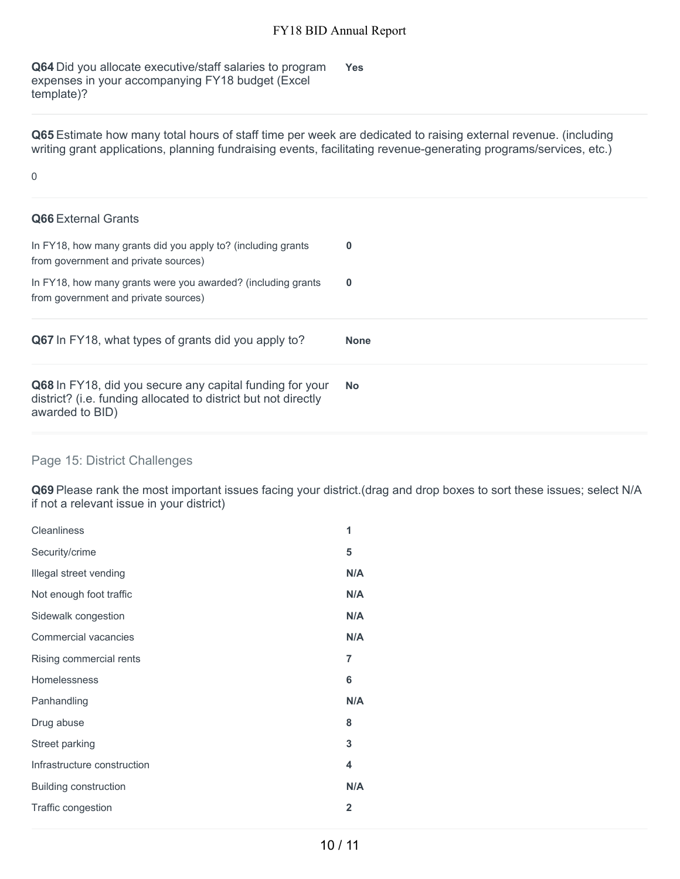**Q64** Did you allocate executive/staff salaries to program expenses in your accompanying FY18 budget (Excel template)? **Yes**

**Q65** Estimate how many total hours of staff time per week are dedicated to raising external revenue. (including writing grant applications, planning fundraising events, facilitating revenue-generating programs/services, etc.)

#### 0

| <b>Q66</b> External Grants                                                                           |             |
|------------------------------------------------------------------------------------------------------|-------------|
| In FY18, how many grants did you apply to? (including grants<br>from government and private sources) | $\bf{0}$    |
| In FY18, how many grants were you awarded? (including grants<br>from government and private sources) | $\bf{0}$    |
|                                                                                                      |             |
| Q67 In FY18, what types of grants did you apply to?                                                  | <b>None</b> |

### Page 15: District Challenges

**Q69** Please rank the most important issues facing your district.(drag and drop boxes to sort these issues; select N/A if not a relevant issue in your district)

| <b>Cleanliness</b>           | 1              |
|------------------------------|----------------|
| Security/crime               | 5              |
| Illegal street vending       | N/A            |
| Not enough foot traffic      | N/A            |
| Sidewalk congestion          | N/A            |
| Commercial vacancies         | N/A            |
| Rising commercial rents      | $\overline{7}$ |
| <b>Homelessness</b>          | 6              |
| Panhandling                  | N/A            |
| Drug abuse                   | 8              |
| Street parking               | 3              |
| Infrastructure construction  | 4              |
| <b>Building construction</b> | N/A            |
| Traffic congestion           | $\overline{2}$ |
|                              |                |